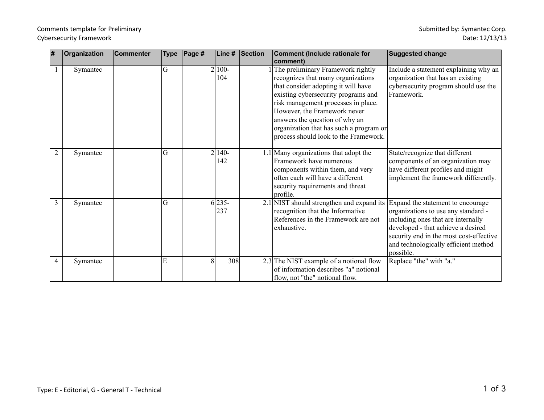## Comments template for Preliminary Cybersecurity Framework

| ∦ | Organization | Commenter | <b>Type</b> | $\vert$ Page # | Line #          | Section | <b>Comment (Include rationale for</b><br> comment)                                                                                                                                                                                                                                                                                                 | <b>Suggested change</b>                                                                                                                                                                                                                              |
|---|--------------|-----------|-------------|----------------|-----------------|---------|----------------------------------------------------------------------------------------------------------------------------------------------------------------------------------------------------------------------------------------------------------------------------------------------------------------------------------------------------|------------------------------------------------------------------------------------------------------------------------------------------------------------------------------------------------------------------------------------------------------|
|   | Symantec     |           | G           |                | $2 100-$<br>104 |         | The preliminary Framework rightly<br>recognizes that many organizations<br>that consider adopting it will have<br>existing cybersecurity programs and<br>risk management processes in place.<br>However, the Framework never<br>answers the question of why an<br>organization that has such a program or<br>process should look to the Framework. | Include a statement explaining why an<br>organization that has an existing<br>cybersecurity program should use the<br>Framework.                                                                                                                     |
| 2 | Symantec     |           | G           |                | $2 140-$<br>142 |         | 1.1 Many organizations that adopt the<br>Framework have numerous<br>components within them, and very<br>often each will have a different<br>security requirements and threat<br>profile.                                                                                                                                                           | State/recognize that different<br>components of an organization may<br>have different profiles and might<br>implement the framework differently.                                                                                                     |
| 3 | Symantec     |           | G           |                | $6 235-$<br>237 |         | 2.1 NIST should strengthen and expand its<br>recognition that the Informative<br>References in the Framework are not<br>exhaustive.                                                                                                                                                                                                                | Expand the statement to encourage<br>organizations to use any standard -<br>including ones that are internally<br>developed - that achieve a desired<br>security end in the most cost-effective<br>and technologically efficient method<br>possible. |
| 4 | Symantec     |           | E           | 8              | 308             |         | 2.3 The NIST example of a notional flow<br>of information describes "a" notional<br>flow, not "the" notional flow.                                                                                                                                                                                                                                 | Replace "the" with "a."                                                                                                                                                                                                                              |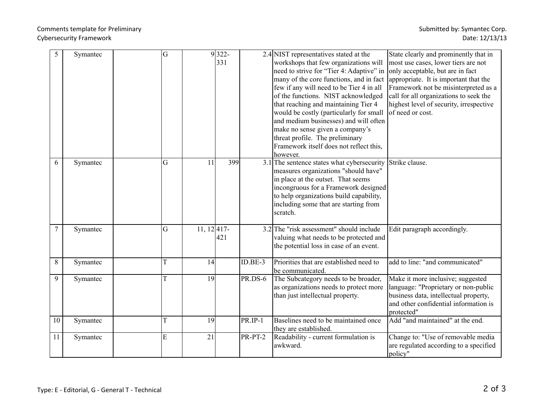## Comments template for Preliminary Cybersecurity Framework

| 5      | Symantec | G |               | $9 322 -$ |                | 2.4 NIST representatives stated at the     | State clearly and prominently that in   |
|--------|----------|---|---------------|-----------|----------------|--------------------------------------------|-----------------------------------------|
|        |          |   |               | 331       |                | workshops that few organizations will      | most use cases, lower tiers are not     |
|        |          |   |               |           |                | need to strive for "Tier 4: Adaptive" in   | only acceptable, but are in fact        |
|        |          |   |               |           |                | many of the core functions, and in fact    | appropriate. It is important that the   |
|        |          |   |               |           |                | few if any will need to be Tier 4 in all   | Framework not be misinterpreted as a    |
|        |          |   |               |           |                | of the functions. NIST acknowledged        | call for all organizations to seek the  |
|        |          |   |               |           |                | that reaching and maintaining Tier 4       | highest level of security, irrespective |
|        |          |   |               |           |                | would be costly (particularly for small    | of need or cost.                        |
|        |          |   |               |           |                | and medium businesses) and will often      |                                         |
|        |          |   |               |           |                | make no sense given a company's            |                                         |
|        |          |   |               |           |                | threat profile. The preliminary            |                                         |
|        |          |   |               |           |                | Framework itself does not reflect this,    |                                         |
|        |          |   |               |           |                | however.                                   |                                         |
| 6      | Symantec | G | 11            | 399       |                | 3.1 The sentence states what cybersecurity | Strike clause.                          |
|        |          |   |               |           |                | measures organizations "should have"       |                                         |
|        |          |   |               |           |                | in place at the outset. That seems         |                                         |
|        |          |   |               |           |                | incongruous for a Framework designed       |                                         |
|        |          |   |               |           |                | to help organizations build capability,    |                                         |
|        |          |   |               |           |                | including some that are starting from      |                                         |
|        |          |   |               |           |                | scratch.                                   |                                         |
|        |          |   |               |           |                |                                            |                                         |
| $\tau$ | Symantec | G | $11, 12$ 417- |           |                | 3.2 The "risk assessment" should include   | Edit paragraph accordingly.             |
|        |          |   |               | 421       |                | valuing what needs to be protected and     |                                         |
|        |          |   |               |           |                | the potential loss in case of an event.    |                                         |
|        |          |   |               |           |                |                                            |                                         |
| 8      | Symantec | T | 14            |           | $ID.BE-3$      | Priorities that are established need to    | add to line: "and communicated"         |
|        |          |   |               |           |                | be communicated.                           |                                         |
| 9      | Symantec | T | 19            |           | <b>PR.DS-6</b> | The Subcategory needs to be broader,       | Make it more inclusive; suggested       |
|        |          |   |               |           |                | as organizations needs to protect more     | language: "Proprietary or non-public    |
|        |          |   |               |           |                | than just intellectual property.           | business data, intellectual property,   |
|        |          |   |               |           |                |                                            | and other confidential information is   |
|        |          |   |               |           |                |                                            | protected"                              |
| 10     | Symantec | T | 19            |           | PR.IP-1        | Baselines need to be maintained once       | Add "and maintained" at the end.        |
|        |          |   |               |           |                | they are established.                      |                                         |
| 11     | Symantec | E | 21            |           | PR-PT-2        | Readability - current formulation is       | Change to: "Use of removable media      |
|        |          |   |               |           |                | awkward.                                   | are regulated according to a specified  |
|        |          |   |               |           |                |                                            | policy"                                 |